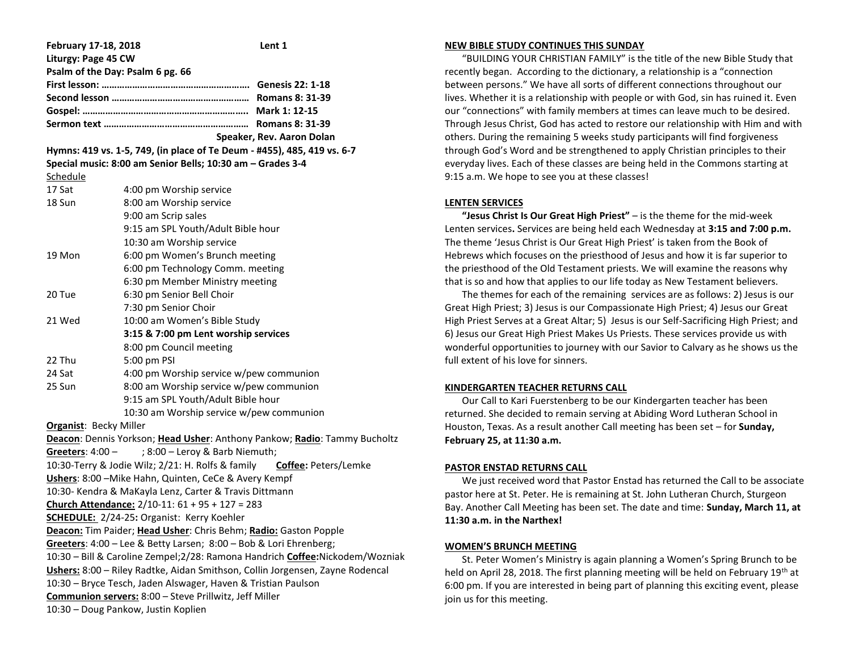| February 17-18, 2018                                                          |                                          | Lent 1                    |
|-------------------------------------------------------------------------------|------------------------------------------|---------------------------|
| Liturgy: Page 45 CW                                                           |                                          |                           |
| Psalm of the Day: Psalm 6 pg. 66                                              |                                          |                           |
|                                                                               |                                          |                           |
|                                                                               |                                          |                           |
|                                                                               |                                          |                           |
|                                                                               |                                          |                           |
|                                                                               |                                          | Speaker, Rev. Aaron Dolan |
| Hymns: 419 vs. 1-5, 749, (in place of Te Deum - #455), 485, 419 vs. 6-7       |                                          |                           |
| Special music: 8:00 am Senior Bells; 10:30 am - Grades 3-4                    |                                          |                           |
| Schedule                                                                      |                                          |                           |
| 17 Sat                                                                        | 4:00 pm Worship service                  |                           |
| 18 Sun                                                                        | 8:00 am Worship service                  |                           |
|                                                                               | 9:00 am Scrip sales                      |                           |
|                                                                               | 9:15 am SPL Youth/Adult Bible hour       |                           |
|                                                                               | 10:30 am Worship service                 |                           |
| 19 Mon                                                                        | 6:00 pm Women's Brunch meeting           |                           |
|                                                                               | 6:00 pm Technology Comm. meeting         |                           |
|                                                                               | 6:30 pm Member Ministry meeting          |                           |
| 20 Tue                                                                        | 6:30 pm Senior Bell Choir                |                           |
|                                                                               | 7:30 pm Senior Choir                     |                           |
| 21 Wed                                                                        | 10:00 am Women's Bible Study             |                           |
|                                                                               | 3:15 & 7:00 pm Lent worship services     |                           |
|                                                                               | 8:00 pm Council meeting                  |                           |
| 22 Thu                                                                        | 5:00 pm PSI                              |                           |
| 24 Sat                                                                        | 4:00 pm Worship service w/pew communion  |                           |
| 25 Sun                                                                        | 8:00 am Worship service w/pew communion  |                           |
|                                                                               | 9:15 am SPL Youth/Adult Bible hour       |                           |
|                                                                               | 10:30 am Worship service w/pew communion |                           |
| <b>Organist: Becky Miller</b>                                                 |                                          |                           |
| Deacon: Dennis Yorkson; Head Usher: Anthony Pankow; Radio: Tammy Bucholtz     |                                          |                           |
| ; 8:00 - Leroy & Barb Niemuth;<br>Greeters: $4:00 -$                          |                                          |                           |
| 10:30-Terry & Jodie Wilz; 2/21: H. Rolfs & family Coffee: Peters/Lemke        |                                          |                           |
| Ushers: 8:00 - Mike Hahn, Quinten, CeCe & Avery Kempf                         |                                          |                           |
| 10:30- Kendra & MaKayla Lenz, Carter & Travis Dittmann                        |                                          |                           |
| Church Attendance: 2/10-11: 61 + 95 + 127 = 283                               |                                          |                           |
| <b>SCHEDULE:</b> 2/24-25: Organist: Kerry Koehler                             |                                          |                           |
| Deacon: Tim Paider; Head Usher: Chris Behm; Radio: Gaston Popple              |                                          |                           |
| Greeters: 4:00 - Lee & Betty Larsen; 8:00 - Bob & Lori Ehrenberg;             |                                          |                           |
| 10:30 - Bill & Caroline Zempel;2/28: Ramona Handrich Coffee:Nickodem/Wozniak  |                                          |                           |
| Ushers: 8:00 - Riley Radtke, Aidan Smithson, Collin Jorgensen, Zayne Rodencal |                                          |                           |
| 10:30 - Bryce Tesch, Jaden Alswager, Haven & Tristian Paulson                 |                                          |                           |
| Communion servers: 8:00 - Steve Prillwitz, Jeff Miller                        |                                          |                           |
| 10:30 - Doug Pankow, Justin Koplien                                           |                                          |                           |

#### **NEW BIBLE STUDY CONTINUES THIS SUNDAY**

 "BUILDING YOUR CHRISTIAN FAMILY" is the title of the new Bible Study that recently began. According to the dictionary, a relationship is a "connection between persons." We have all sorts of different connections throughout our lives. Whether it is a relationship with people or with God, sin has ruined it. Even our "connections" with family members at times can leave much to be desired. Through Jesus Christ, God has acted to restore our relationship with Him and with others. During the remaining 5 weeks study participants will find forgiveness through God's Word and be strengthened to apply Christian principles to their everyday lives. Each of these classes are being held in the Commons starting at 9:15 a.m. We hope to see you at these classes!

# **LENTEN SERVICES**

 **"Jesus Christ Is Our Great High Priest"** – is the theme for the mid-week Lenten services**.** Services are being held each Wednesday at **3:15 and 7:00 p.m.** The theme 'Jesus Christ is Our Great High Priest' is taken from the Book of Hebrews which focuses on the priesthood of Jesus and how it is far superior to the priesthood of the Old Testament priests. We will examine the reasons why that is so and how that applies to our life today as New Testament believers.

 The themes for each of the remaining services are as follows: 2) Jesus is our Great High Priest; 3) Jesus is our Compassionate High Priest; 4) Jesus our Great High Priest Serves at a Great Altar; 5) Jesus is our Self-Sacrificing High Priest; and 6) Jesus our Great High Priest Makes Us Priests. These services provide us with wonderful opportunities to journey with our Savior to Calvary as he shows us the full extent of his love for sinners.

# **KINDERGARTEN TEACHER RETURNS CALL**

 Our Call to Kari Fuerstenberg to be our Kindergarten teacher has been returned. She decided to remain serving at Abiding Word Lutheran School in Houston, Texas. As a result another Call meeting has been set – for **Sunday, February 25, at 11:30 a.m.**

# **PASTOR ENSTAD RETURNS CALL**

 We just received word that Pastor Enstad has returned the Call to be associate pastor here at St. Peter. He is remaining at St. John Lutheran Church, Sturgeon Bay. Another Call Meeting has been set. The date and time: **Sunday, March 11, at 11:30 a.m. in the Narthex!** 

# **WOMEN'S BRUNCH MEETING**

 St. Peter Women's Ministry is again planning a Women's Spring Brunch to be held on April 28, 2018. The first planning meeting will be held on February 19<sup>th</sup> at 6:00 pm. If you are interested in being part of planning this exciting event, please join us for this meeting.